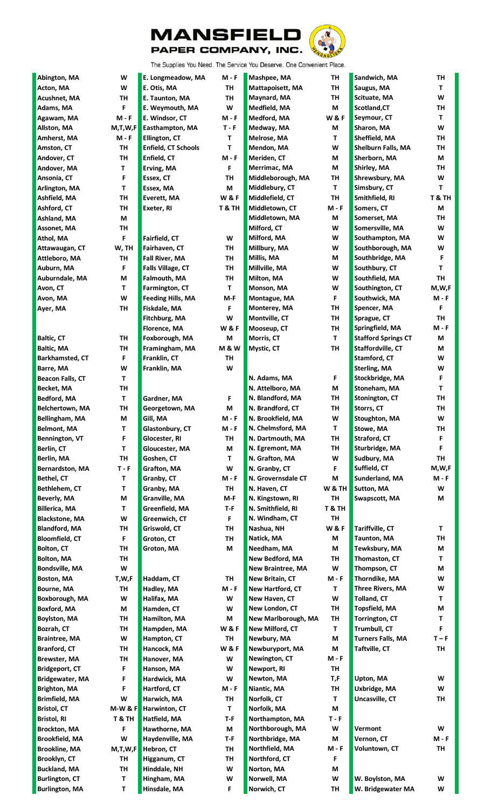



The Supplies You Need. The Service You Deserve. One Convenient Place.

| Abington, MA            | W            | E. Longmeadow, MA          | $M - F$          | Mashpee, MA              | TH                | Sandwich, MA               | TH           |
|-------------------------|--------------|----------------------------|------------------|--------------------------|-------------------|----------------------------|--------------|
| Acton, MA               | W            | E. Otis, MA                | <b>TH</b>        | Mattapoisett, MA         | TH                | Saugus, MA                 | T.           |
| <b>Acushnet, MA</b>     | TH           | E. Taunton, MA             | TH               | Maynard, MA              | TH                | Scituate, MA               | W            |
| Adams, MA               | F            | E. Weymouth, MA            | W                | Medfield, MA             | M                 | Scotland, CT               | TH           |
| Agawam, MA              | $M - F$      | E. Windsor, CT             | $M - F$          | Medford, MA              | <b>W&amp;F</b>    | Seymour, CT                | Τ            |
| Allston, MA             | M,T,W,F      | Easthampton, MA            | $T - F$          | Medway, MA               | M                 | Sharon, MA                 | W            |
| Amherst, MA             | <b>M - F</b> | Ellington, CT              | Τ                | Melrose, MA              | T                 | Sheffield, MA              | TH           |
| Amston, CT              | TH           | <b>Enfield, CT Schools</b> | T.               | Mendon, MA               | W                 | Shelburn Falls, MA         | TН           |
| Andover, CT             | TH           | Enfield, CT                | $M - F$          | Meriden, CT              | M                 | Sherborn, MA               | M            |
| Andover, MA             | T            | Erving, MA                 | F                | Merrimac, MA             | M                 | Shirley, MA                | TH           |
| Ansonia, CT             | F            | Essex, CT                  | <b>TH</b>        | Middleborough, MA        | TH                | Shrewsbury, MA             | W            |
| Arlington, MA           | т            | Essex, MA                  | M                | Middlebury, CT           | T                 | Simsbury, CT               | T.           |
| Ashfield, MA            | TH           | Everett, MA                | <b>W&amp;F</b>   | Middlefield, CT          | <b>TH</b>         | Smithfield, RI             | T&TH         |
| Ashford, CT             | TH           | Exeter, RI                 | T & TH           | Middletown, CT           | $M - F$           | Somers, CT                 | M            |
| Ashland, MA             | M            |                            |                  | Middletown, MA           | M                 | Somerset, MA               | TH           |
| Assonet, MA             | TH           |                            |                  | Milford, CT              | W                 | Somersville, MA            | W            |
|                         | F            | Fairfield, CT              | W                | Milford, MA              | W                 | Southampton, MA            | W            |
| Athol, MA               |              |                            |                  |                          | W                 |                            | W            |
| Attawaugan, CT          | W, TH        | Fairhaven, CT              | TH               | Millbury, MA             |                   | Southborough, MA           |              |
| Attleboro, MA           | TH           | Fall River, MA             | TH               | Millis, MA               | M                 | Southbridge, MA            | F            |
| Auburn, MA              | F            | Falls Village, CT          | TH               | Millville, MA            | W                 | Southbury, CT              | Τ            |
| Auburndale, MA          | M            | Falmouth, MA               | TH               | Milton, MA               | W                 | Southfield, MA             | <b>TH</b>    |
| Avon, CT                | т            | Farmington, CT             | $\mathbf{T}$     | Monson, MA               | W                 | Southington, CT            | M,W,F        |
| Avon, MA                | W            | <b>Feeding Hills, MA</b>   | $M-F$            | Montague, MA             | F.                | Southwick, MA              | $M - F$      |
| Ayer, MA                | TH           | Fiskdale, MA               | F                | Monterey, MA             | TH                | Spencer, MA                | F.           |
|                         |              | Fitchburg, MA              | W                | Montville, CT            | TH                | Sprague, CT                | <b>TH</b>    |
|                         |              | Florence, MA               | <b>W&amp;F</b>   | Mooseup, CT              | TH                | Springfield, MA            | $M - F$      |
| <b>Baltic, CT</b>       | TH           | Foxborough, MA             | M                | Morris, CT               | T                 | <b>Stafford Springs CT</b> | М            |
| <b>Baltic, MA</b>       | TH           | Framingham, MA             | <b>M &amp; W</b> | Mystic, CT               | TH                | Staffordville, CT          | М            |
| <b>Barkhamsted, CT</b>  | F            | Franklin, CT               | TH               |                          |                   | Stamford, CT               | W            |
| Barre, MA               | W            | Franklin, MA               | W                |                          |                   | <b>Sterling, MA</b>        | W            |
| <b>Beacon Falls, CT</b> | т            |                            |                  | N. Adams, MA             | F.                | Stockbridge, MA            | F            |
| Becket, MA              | TH           |                            |                  | N. Attelboro, MA         | M                 | Stoneham, MA               | Τ            |
| <b>Bedford, MA</b>      | т            | Gardner, MA                | F                | N. Blandford, MA         | TH                | Stonington, CT             | TH           |
| Belchertown, MA         | TH           | Georgetown, MA             | M                | N. Brandford, CT         | TH                | Storrs, CT                 | TH           |
| Bellingham, MA          | M            | Gill, MA                   | M - F            | N. Brookfield, MA        | W                 | Stoughton, MA              | W            |
| <b>Belmont, MA</b>      | T            | Glastonbury, CT            | M - F            | N. Chelmsford, MA        | T                 | Stowe, MA                  | TH           |
| Bennington, VT          | F            | Glocester, RI              | TH               | N. Dartmouth, MA         | TH                | <b>Straford, CT</b>        | F            |
| Berlin, CT              | T            | Gloucester, MA             | M                | N. Egremont, MA          | TH                | Sturbridge, MA             | F            |
| Berlin, MA              | TH           | Goshen, CT                 | T.               | N. Grafton, MA           | W                 | Sudbury, MA                | TH           |
| <b>Bernardston, MA</b>  | $T - F$      | Grafton, MA                | W                | N. Granby, CT            | F                 | Suffield, CT               | M,W,F        |
| <b>Bethel, CT</b>       | Τ            | Granby, CT                 | $M - F$          | N. Grovernsdale CT       | M                 | Sunderland, MA             | <b>M - F</b> |
| Bethlehem, CT           | т            | Granby, MA                 | TH               | N. Haven, CT             | <b>W &amp; TH</b> | Sutton, MA                 | W            |
| <b>Beverly, MA</b>      | M            | Granville, MA              | $M-F$            | N. Kingstown, RI         | <b>TH</b>         | Swapscott, MA              | М            |
| <b>Billerica, MA</b>    | т            | Greenfield, MA             | T-F              | N. Smithfield, RI        | T & TH            |                            |              |
| <b>Blackstone, MA</b>   | W            | Greenwich, CT              | F                | N. Windham, CT           | TH                |                            |              |
| <b>Blandford, MA</b>    | TH           | Griswold, CT               | TH               | Nashua, NH               | <b>W&amp;F</b>    | Tariffville, CT            | Τ            |
| <b>Bloomfield, CT</b>   | F            | Groton, CT                 | TH               | Natick, MA               | M                 | <b>Taunton, MA</b>         | TН           |
| <b>Bolton, CT</b>       | TH           | Groton, MA                 | M                | Needham, MA              | M                 | Tewksbury, MA              | M            |
| <b>Bolton, MA</b>       | TH           |                            |                  | New Bedford, MA          | TH                | Thomaston, CT              | T.           |
| <b>Bondsville, MA</b>   | W            |                            |                  | <b>New Braintree, MA</b> | W                 | Thompson, CT               | М            |
| <b>Boston, MA</b>       | T,W,F        | Haddam, CT                 | <b>TH</b>        | New Britain, CT          | <b>M - F</b>      | Thorndike, MA              | W            |
| Bourne, MA              | TH           | Hadley, MA                 | $M - F$          | New Hartford, CT         | т                 | <b>Three Rivers, MA</b>    | W            |
| Boxborough, MA          | W            | Halifax, MA                | W                | New Haven, CT            | W                 | <b>Tolland, CT</b>         | Τ            |
| <b>Boxford, MA</b>      | M            | Hamden, CT                 | W                | New London, CT           | TH                | Topsfield, MA              | M            |
| <b>Boylston, MA</b>     | TH           | Hamilton, MA               | М                | New Marlborough, MA      | TH                | <b>Torrington, CT</b>      | Τ            |
| Bozrah, CT              | TH           | Hampden, MA                | <b>W&amp;F</b>   | New Milford, CT          | т                 | Trumbull, CT               | F            |
| <b>Braintree, MA</b>    | W            | Hampton, CT                | TH               | Newbury, MA              | M                 | <b>Turners Falls, MA</b>   | $T - F$      |
| <b>Branford, CT</b>     | TH           | Hancock, MA                | <b>W&amp;F</b>   | Newburyport, MA          | M                 | Taftville, CT              | <b>TH</b>    |
| <b>Brewster, MA</b>     | TH           | Hanover, MA                | W                | Newington, CT            | M - F             |                            |              |
| <b>Bridgeport, CT</b>   | F            | Hanson, MA                 | W                | Newport, RI              | TH                |                            |              |
| <b>Bridgewater, MA</b>  | F            | Hardwick, MA               | W                | Newton, MA               | T,F               | Upton, MA                  | W            |
| <b>Brighton, MA</b>     | F            | Hartford, CT               | $M - F$          | Niantic, MA              | TH                | Uxbridge, MA               | W            |
| <b>Brimfield, MA</b>    | W            | Harwich, MA                | <b>TH</b>        | Norfolk, CT              | T                 | Uncasville, CT             | <b>TH</b>    |
| <b>Bristol, CT</b>      | $M-W & F$    | Harwinton, CT              | T                | Norfolk, MA              | M                 |                            |              |
| <b>Bristol, RI</b>      | T & TH       | Hatfield, MA               | $T - F$          | Northampton, MA          | $T - F$           |                            |              |
| <b>Brockton, MA</b>     | F            | Hawthorne, MA              | M                | Northborough, MA         | W                 | Vermont                    | W            |
| <b>Brookfield, MA</b>   | W            | Haydenville, MA            | $T - F$          | Northbridge, MA          | M                 | Vernon, CT                 | M - F        |
| <b>Brookline, MA</b>    | M,T,W,F      | Hebron, CT                 | TH               | Northfield, MA           | <b>M - F</b>      | Voluntown, CT              | TH           |
| Brooklyn, CT            | TH           | Higganum, CT               | TH               | Northford, CT            | F                 |                            |              |
| <b>Buckland, MA</b>     | TH           | Hinddale, NH               | W                | Norton, MA               | M                 |                            |              |
|                         | T            |                            | W                |                          | W                 | W. Boylston, MA            | W            |
| <b>Burlington, CT</b>   |              | Hingham, MA                |                  | Norwell, MA              |                   |                            |              |
| <b>Burlington, MA</b>   | T            | Hinsdale, MA               | F                | Norwich, CT              | TH                | W. Bridgewater MA          | W            |